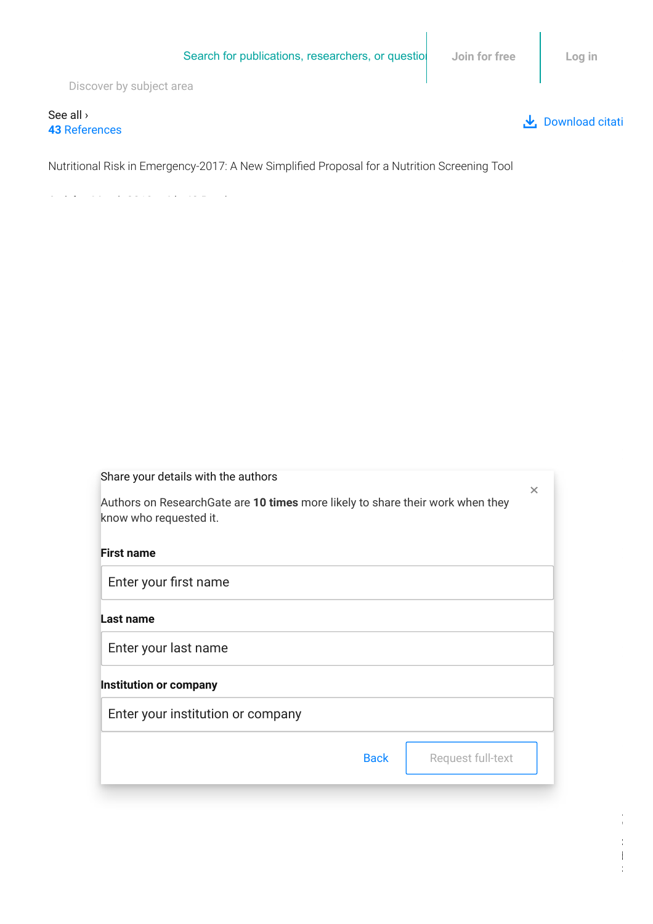上 Download citati

[Discover by subject area](https://www.researchgate.net/topics)

## See all › 43 References

Nutritional Risk in Emergency-2017: A New Simplified Proposal for a Nutrition Screening Tool

| Share your details with the authors                                                                       | $\times$ |
|-----------------------------------------------------------------------------------------------------------|----------|
| Authors on Research Gate are 10 times more likely to share their work when they<br>know who requested it. |          |
| <b>First name</b>                                                                                         |          |
| Enter your first name                                                                                     |          |
| Last name                                                                                                 |          |
| Enter your last name                                                                                      |          |
| <b>Institution or company</b>                                                                             |          |
| Enter your institution or company                                                                         |          |
| <b>Back</b><br>Request full-text                                                                          |          |